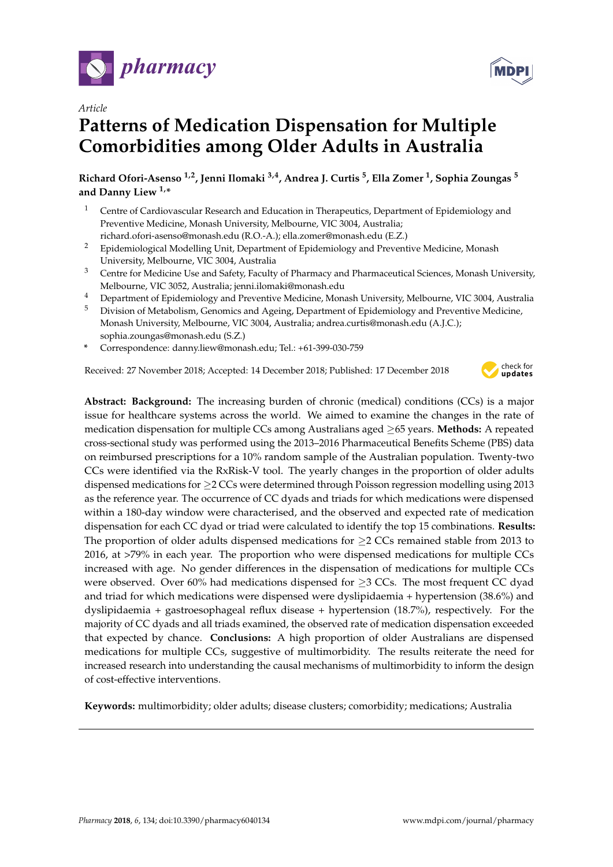



# *Article* **Patterns of Medication Dispensation for Multiple Comorbidities among Older Adults in Australia**

**Richard Ofori-Asenso 1,2, Jenni Ilomaki 3,4, Andrea J. Curtis <sup>5</sup> , Ella Zomer <sup>1</sup> , Sophia Zoungas <sup>5</sup> and Danny Liew 1,\***

- <sup>1</sup> Centre of Cardiovascular Research and Education in Therapeutics, Department of Epidemiology and Preventive Medicine, Monash University, Melbourne, VIC 3004, Australia; richard.ofori-asenso@monash.edu (R.O.-A.); ella.zomer@monash.edu (E.Z.)
- <sup>2</sup> Epidemiological Modelling Unit, Department of Epidemiology and Preventive Medicine, Monash University, Melbourne, VIC 3004, Australia
- <sup>3</sup> Centre for Medicine Use and Safety, Faculty of Pharmacy and Pharmaceutical Sciences, Monash University, Melbourne, VIC 3052, Australia; jenni.ilomaki@monash.edu
- <sup>4</sup> Department of Epidemiology and Preventive Medicine, Monash University, Melbourne, VIC 3004, Australia
- <sup>5</sup> Division of Metabolism, Genomics and Ageing, Department of Epidemiology and Preventive Medicine, Monash University, Melbourne, VIC 3004, Australia; andrea.curtis@monash.edu (A.J.C.); sophia.zoungas@monash.edu (S.Z.)
- **\*** Correspondence: danny.liew@monash.edu; Tel.: +61-399-030-759

Received: 27 November 2018; Accepted: 14 December 2018; Published: 17 December 2018



**Abstract: Background:** The increasing burden of chronic (medical) conditions (CCs) is a major issue for healthcare systems across the world. We aimed to examine the changes in the rate of medication dispensation for multiple CCs among Australians aged ≥65 years. **Methods:** A repeated cross-sectional study was performed using the 2013–2016 Pharmaceutical Benefits Scheme (PBS) data on reimbursed prescriptions for a 10% random sample of the Australian population. Twenty-two CCs were identified via the RxRisk-V tool. The yearly changes in the proportion of older adults dispensed medications for ≥2 CCs were determined through Poisson regression modelling using 2013 as the reference year. The occurrence of CC dyads and triads for which medications were dispensed within a 180-day window were characterised, and the observed and expected rate of medication dispensation for each CC dyad or triad were calculated to identify the top 15 combinations. **Results:** The proportion of older adults dispensed medications for  $\geq 2$  CCs remained stable from 2013 to 2016, at >79% in each year. The proportion who were dispensed medications for multiple CCs increased with age. No gender differences in the dispensation of medications for multiple CCs were observed. Over 60% had medications dispensed for  $\geq$ 3 CCs. The most frequent CC dyad and triad for which medications were dispensed were dyslipidaemia + hypertension (38.6%) and dyslipidaemia + gastroesophageal reflux disease + hypertension (18.7%), respectively. For the majority of CC dyads and all triads examined, the observed rate of medication dispensation exceeded that expected by chance. **Conclusions:** A high proportion of older Australians are dispensed medications for multiple CCs, suggestive of multimorbidity. The results reiterate the need for increased research into understanding the causal mechanisms of multimorbidity to inform the design of cost-effective interventions.

**Keywords:** multimorbidity; older adults; disease clusters; comorbidity; medications; Australia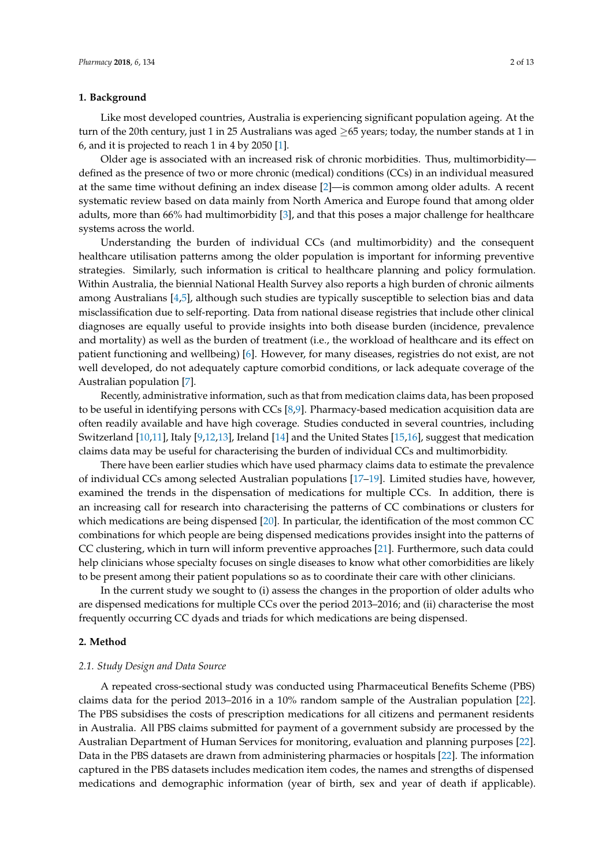## **1. Background**

Like most developed countries, Australia is experiencing significant population ageing. At the turn of the 20th century, just 1 in 25 Australians was aged ≥65 years; today, the number stands at 1 in 6, and it is projected to reach 1 in 4 by 2050 [\[1\]](#page-10-0).

Older age is associated with an increased risk of chronic morbidities. Thus, multimorbidity defined as the presence of two or more chronic (medical) conditions (CCs) in an individual measured at the same time without defining an index disease [\[2\]](#page-10-1)—is common among older adults. A recent systematic review based on data mainly from North America and Europe found that among older adults, more than 66% had multimorbidity [\[3\]](#page-10-2), and that this poses a major challenge for healthcare systems across the world.

Understanding the burden of individual CCs (and multimorbidity) and the consequent healthcare utilisation patterns among the older population is important for informing preventive strategies. Similarly, such information is critical to healthcare planning and policy formulation. Within Australia, the biennial National Health Survey also reports a high burden of chronic ailments among Australians [\[4](#page-11-0)[,5\]](#page-11-1), although such studies are typically susceptible to selection bias and data misclassification due to self-reporting. Data from national disease registries that include other clinical diagnoses are equally useful to provide insights into both disease burden (incidence, prevalence and mortality) as well as the burden of treatment (i.e., the workload of healthcare and its effect on patient functioning and wellbeing) [\[6\]](#page-11-2). However, for many diseases, registries do not exist, are not well developed, do not adequately capture comorbid conditions, or lack adequate coverage of the Australian population [\[7\]](#page-11-3).

Recently, administrative information, such as that from medication claims data, has been proposed to be useful in identifying persons with CCs [\[8,](#page-11-4)[9\]](#page-11-5). Pharmacy-based medication acquisition data are often readily available and have high coverage. Studies conducted in several countries, including Switzerland [\[10](#page-11-6)[,11\]](#page-11-7), Italy [\[9](#page-11-5)[,12,](#page-11-8)[13\]](#page-11-9), Ireland [\[14\]](#page-11-10) and the United States [\[15,](#page-11-11)[16\]](#page-11-12), suggest that medication claims data may be useful for characterising the burden of individual CCs and multimorbidity.

There have been earlier studies which have used pharmacy claims data to estimate the prevalence of individual CCs among selected Australian populations [\[17](#page-11-13)[–19\]](#page-11-14). Limited studies have, however, examined the trends in the dispensation of medications for multiple CCs. In addition, there is an increasing call for research into characterising the patterns of CC combinations or clusters for which medications are being dispensed [\[20\]](#page-11-15). In particular, the identification of the most common CC combinations for which people are being dispensed medications provides insight into the patterns of CC clustering, which in turn will inform preventive approaches [\[21\]](#page-11-16). Furthermore, such data could help clinicians whose specialty focuses on single diseases to know what other comorbidities are likely to be present among their patient populations so as to coordinate their care with other clinicians.

In the current study we sought to (i) assess the changes in the proportion of older adults who are dispensed medications for multiple CCs over the period 2013–2016; and (ii) characterise the most frequently occurring CC dyads and triads for which medications are being dispensed.

## **2. Method**

#### *2.1. Study Design and Data Source*

A repeated cross-sectional study was conducted using Pharmaceutical Benefits Scheme (PBS) claims data for the period 2013–2016 in a 10% random sample of the Australian population [\[22\]](#page-11-17). The PBS subsidises the costs of prescription medications for all citizens and permanent residents in Australia. All PBS claims submitted for payment of a government subsidy are processed by the Australian Department of Human Services for monitoring, evaluation and planning purposes [\[22\]](#page-11-17). Data in the PBS datasets are drawn from administering pharmacies or hospitals [\[22\]](#page-11-17). The information captured in the PBS datasets includes medication item codes, the names and strengths of dispensed medications and demographic information (year of birth, sex and year of death if applicable).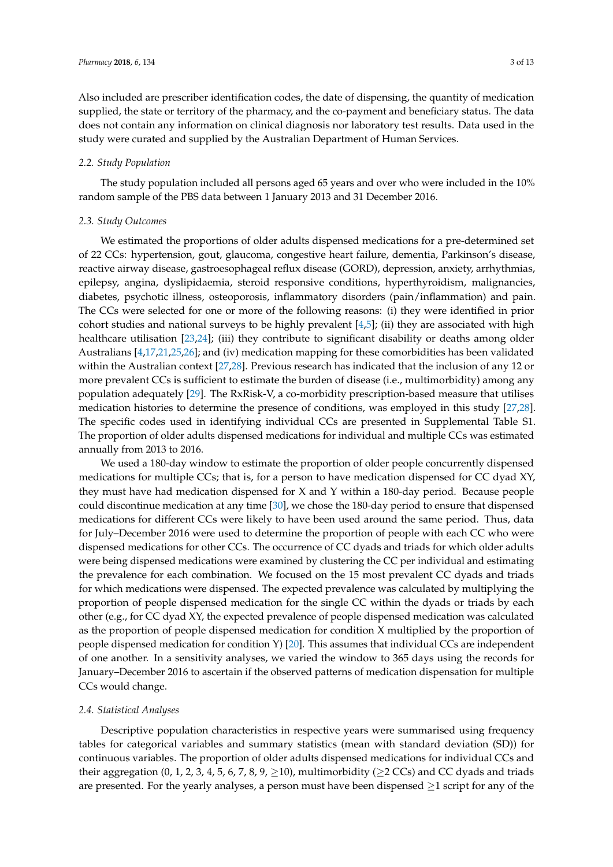Also included are prescriber identification codes, the date of dispensing, the quantity of medication supplied, the state or territory of the pharmacy, and the co-payment and beneficiary status. The data does not contain any information on clinical diagnosis nor laboratory test results. Data used in the study were curated and supplied by the Australian Department of Human Services.

# *2.2. Study Population*

The study population included all persons aged 65 years and over who were included in the 10% random sample of the PBS data between 1 January 2013 and 31 December 2016.

# *2.3. Study Outcomes*

We estimated the proportions of older adults dispensed medications for a pre-determined set of 22 CCs: hypertension, gout, glaucoma, congestive heart failure, dementia, Parkinson's disease, reactive airway disease, gastroesophageal reflux disease (GORD), depression, anxiety, arrhythmias, epilepsy, angina, dyslipidaemia, steroid responsive conditions, hyperthyroidism, malignancies, diabetes, psychotic illness, osteoporosis, inflammatory disorders (pain/inflammation) and pain. The CCs were selected for one or more of the following reasons: (i) they were identified in prior cohort studies and national surveys to be highly prevalent [\[4](#page-11-0)[,5\]](#page-11-1); (ii) they are associated with high healthcare utilisation [\[23,](#page-11-18)[24\]](#page-12-0); (iii) they contribute to significant disability or deaths among older Australians [\[4,](#page-11-0)[17,](#page-11-13)[21](#page-11-16)[,25,](#page-12-1)[26\]](#page-12-2); and (iv) medication mapping for these comorbidities has been validated within the Australian context [\[27](#page-12-3)[,28\]](#page-12-4). Previous research has indicated that the inclusion of any 12 or more prevalent CCs is sufficient to estimate the burden of disease (i.e., multimorbidity) among any population adequately [\[29\]](#page-12-5). The RxRisk-V, a co-morbidity prescription-based measure that utilises medication histories to determine the presence of conditions, was employed in this study [\[27,](#page-12-3)[28\]](#page-12-4). The specific codes used in identifying individual CCs are presented in Supplemental Table S1. The proportion of older adults dispensed medications for individual and multiple CCs was estimated annually from 2013 to 2016.

We used a 180-day window to estimate the proportion of older people concurrently dispensed medications for multiple CCs; that is, for a person to have medication dispensed for CC dyad XY, they must have had medication dispensed for X and Y within a 180-day period. Because people could discontinue medication at any time [\[30\]](#page-12-6), we chose the 180-day period to ensure that dispensed medications for different CCs were likely to have been used around the same period. Thus, data for July–December 2016 were used to determine the proportion of people with each CC who were dispensed medications for other CCs. The occurrence of CC dyads and triads for which older adults were being dispensed medications were examined by clustering the CC per individual and estimating the prevalence for each combination. We focused on the 15 most prevalent CC dyads and triads for which medications were dispensed. The expected prevalence was calculated by multiplying the proportion of people dispensed medication for the single CC within the dyads or triads by each other (e.g., for CC dyad XY, the expected prevalence of people dispensed medication was calculated as the proportion of people dispensed medication for condition X multiplied by the proportion of people dispensed medication for condition Y) [\[20\]](#page-11-15). This assumes that individual CCs are independent of one another. In a sensitivity analyses, we varied the window to 365 days using the records for January–December 2016 to ascertain if the observed patterns of medication dispensation for multiple CCs would change.

## *2.4. Statistical Analyses*

Descriptive population characteristics in respective years were summarised using frequency tables for categorical variables and summary statistics (mean with standard deviation (SD)) for continuous variables. The proportion of older adults dispensed medications for individual CCs and their aggregation (0, 1, 2, 3, 4, 5, 6, 7, 8, 9,  $\geq$  10), multimorbidity ( $\geq$  2 CCs) and CC dyads and triads are presented. For the yearly analyses, a person must have been dispensed  $\geq 1$  script for any of the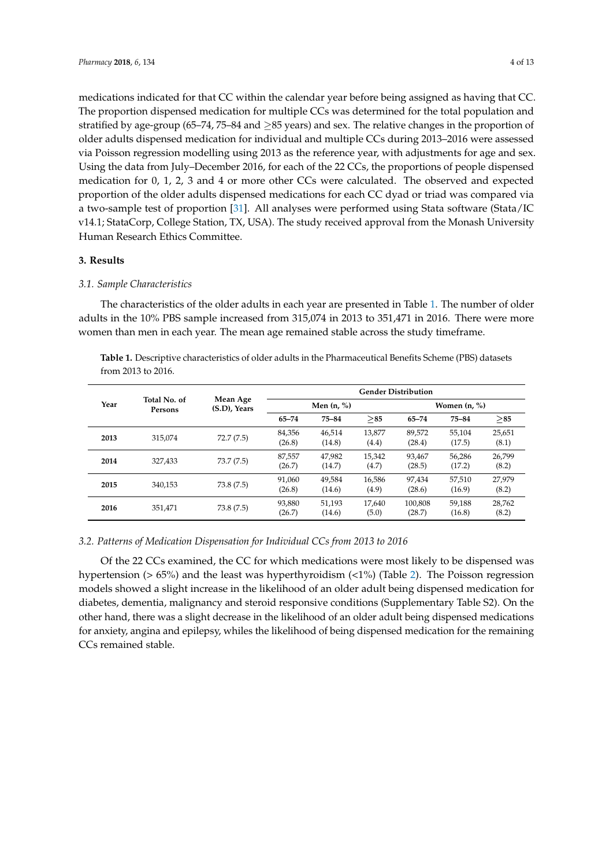medications indicated for that CC within the calendar year before being assigned as having that CC. The proportion dispensed medication for multiple CCs was determined for the total population and stratified by age-group (65–74, 75–84 and ≥85 years) and sex. The relative changes in the proportion of older adults dispensed medication for individual and multiple CCs during 2013–2016 were assessed via Poisson regression modelling using 2013 as the reference year, with adjustments for age and sex. Using the data from July–December 2016, for each of the 22 CCs, the proportions of people dispensed medication for 0, 1, 2, 3 and 4 or more other CCs were calculated. The observed and expected proportion of the older adults dispensed medications for each CC dyad or triad was compared via a two-sample test of proportion [\[31\]](#page-12-7). All analyses were performed using Stata software (Stata/IC v14.1; StataCorp, College Station, TX, USA). The study received approval from the Monash University Human Research Ethics Committee.

## **3. Results**

# *3.1. Sample Characteristics*

The characteristics of the older adults in each year are presented in Table [1.](#page-3-0) The number of older adults in the 10% PBS sample increased from 315,074 in 2013 to 351,471 in 2016. There were more women than men in each year. The mean age remained stable across the study timeframe.

<span id="page-3-0"></span>**Table 1.** Descriptive characteristics of older adults in the Pharmaceutical Benefits Scheme (PBS) datasets from 2013 to 2016.

| Year |                         | Mean Age<br>(S.D), Years | <b>Gender Distribution</b> |                  |                 |                   |                  |                 |  |  |
|------|-------------------------|--------------------------|----------------------------|------------------|-----------------|-------------------|------------------|-----------------|--|--|
|      | Total No. of<br>Persons |                          |                            | Men $(n, %)$     |                 |                   | Women $(n, %)$   |                 |  |  |
|      |                         |                          | $65 - 74$                  | 75-84            | >85             | 65-74             | 75-84            | > 85            |  |  |
| 2013 | 315.074                 | 72.7(7.5)                | 84,356<br>(26.8)           | 46,514<br>(14.8) | 13,877<br>(4.4) | 89,572<br>(28.4)  | 55,104<br>(17.5) | 25,651<br>(8.1) |  |  |
| 2014 | 327.433                 | 73.7(7.5)                | 87,557<br>(26.7)           | 47,982<br>(14.7) | 15.342<br>(4.7) | 93.467<br>(28.5)  | 56,286<br>(17.2) | 26,799<br>(8.2) |  |  |
| 2015 | 340.153                 | 73.8(7.5)                | 91.060<br>(26.8)           | 49,584<br>(14.6) | 16.586<br>(4.9) | 97,434<br>(28.6)  | 57,510<br>(16.9) | 27.979<br>(8.2) |  |  |
| 2016 | 351,471                 | 73.8(7.5)                | 93,880<br>(26.7)           | 51,193<br>(14.6) | 17.640<br>(5.0) | 100.808<br>(28.7) | 59,188<br>(16.8) | 28,762<br>(8.2) |  |  |

## *3.2. Patterns of Medication Dispensation for Individual CCs from 2013 to 2016*

Of the 22 CCs examined, the CC for which medications were most likely to be dispensed was hypertension (> 65%) and the least was hyperthyroidism (<1%) (Table [2\)](#page-4-0). The Poisson regression models showed a slight increase in the likelihood of an older adult being dispensed medication for diabetes, dementia, malignancy and steroid responsive conditions (Supplementary Table S2). On the other hand, there was a slight decrease in the likelihood of an older adult being dispensed medications for anxiety, angina and epilepsy, whiles the likelihood of being dispensed medication for the remaining CCs remained stable.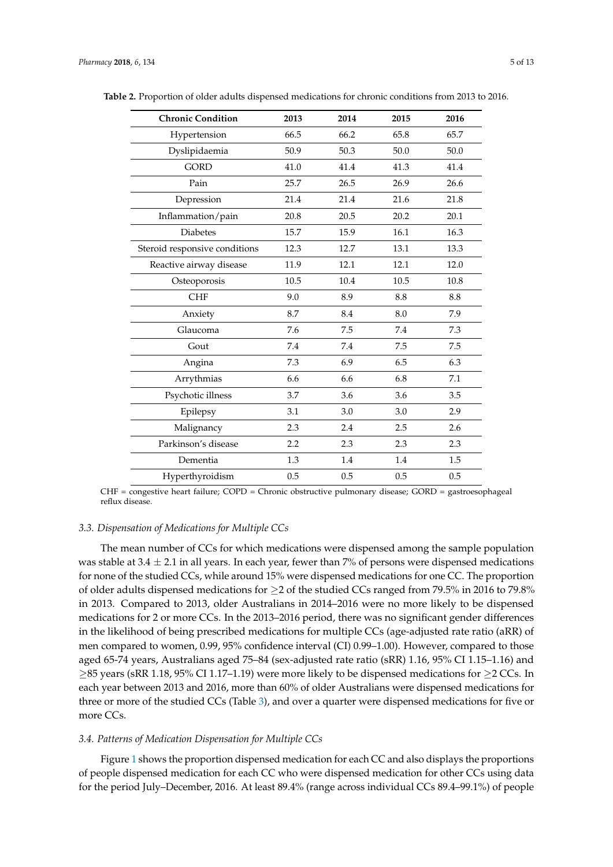| <b>Chronic Condition</b>      | 2013 | 2014 | 2015 | 2016 |
|-------------------------------|------|------|------|------|
| Hypertension                  | 66.5 | 66.2 | 65.8 | 65.7 |
| Dyslipidaemia                 | 50.9 | 50.3 | 50.0 | 50.0 |
| <b>GORD</b>                   | 41.0 | 41.4 | 41.3 | 41.4 |
| Pain                          | 25.7 | 26.5 | 26.9 | 26.6 |
| Depression                    | 21.4 | 21.4 | 21.6 | 21.8 |
| Inflammation/pain             | 20.8 | 20.5 | 20.2 | 20.1 |
| <b>Diabetes</b>               | 15.7 | 15.9 | 16.1 | 16.3 |
| Steroid responsive conditions | 12.3 | 12.7 | 13.1 | 13.3 |
| Reactive airway disease       | 11.9 | 12.1 | 12.1 | 12.0 |
| Osteoporosis                  | 10.5 | 10.4 | 10.5 | 10.8 |
| <b>CHF</b>                    | 9.0  | 8.9  | 8.8  | 8.8  |
| Anxiety                       | 8.7  | 8.4  | 8.0  | 7.9  |
| Glaucoma                      | 7.6  | 7.5  | 7.4  | 7.3  |
| Gout                          | 7.4  | 7.4  | 7.5  | 7.5  |
| Angina                        | 7.3  | 6.9  | 6.5  | 6.3  |
| Arrythmias                    | 6.6  | 6.6  | 6.8  | 7.1  |
| Psychotic illness             | 3.7  | 3.6  | 3.6  | 3.5  |
| Epilepsy                      | 3.1  | 3.0  | 3.0  | 2.9  |
| Malignancy                    | 2.3  | 2.4  | 2.5  | 2.6  |
| Parkinson's disease           | 2.2  | 2.3  | 2.3  | 2.3  |
| Dementia                      | 1.3  | 1.4  | 1.4  | 1.5  |
| Hyperthyroidism               | 0.5  | 0.5  | 0.5  | 0.5  |

<span id="page-4-0"></span>**Table 2.** Proportion of older adults dispensed medications for chronic conditions from 2013 to 2016.

CHF = congestive heart failure; COPD = Chronic obstructive pulmonary disease; GORD = gastroesophageal reflux disease.

### *3.3. Dispensation of Medications for Multiple CCs*

The mean number of CCs for which medications were dispensed among the sample population was stable at  $3.4 \pm 2.1$  in all years. In each year, fewer than 7% of persons were dispensed medications for none of the studied CCs, while around 15% were dispensed medications for one CC. The proportion of older adults dispensed medications for ≥2 of the studied CCs ranged from 79.5% in 2016 to 79.8% in 2013. Compared to 2013, older Australians in 2014–2016 were no more likely to be dispensed medications for 2 or more CCs. In the 2013–2016 period, there was no significant gender differences in the likelihood of being prescribed medications for multiple CCs (age-adjusted rate ratio (aRR) of men compared to women, 0.99, 95% confidence interval (CI) 0.99–1.00). However, compared to those aged 65-74 years, Australians aged 75–84 (sex-adjusted rate ratio (sRR) 1.16, 95% CI 1.15–1.16) and ≥85 years (sRR 1.18, 95% CI 1.17–1.19) were more likely to be dispensed medications for ≥2 CCs. In each year between 2013 and 2016, more than 60% of older Australians were dispensed medications for three or more of the studied CCs (Table [3\)](#page-6-0), and over a quarter were dispensed medications for five or more CCs.

## *3.4. Patterns of Medication Dispensation for Multiple CCs*

Figure [1](#page-5-0) shows the proportion dispensed medication for each CC and also displays the proportions of people dispensed medication for each CC who were dispensed medication for other CCs using data for the period July–December, 2016. At least 89.4% (range across individual CCs 89.4–99.1%) of people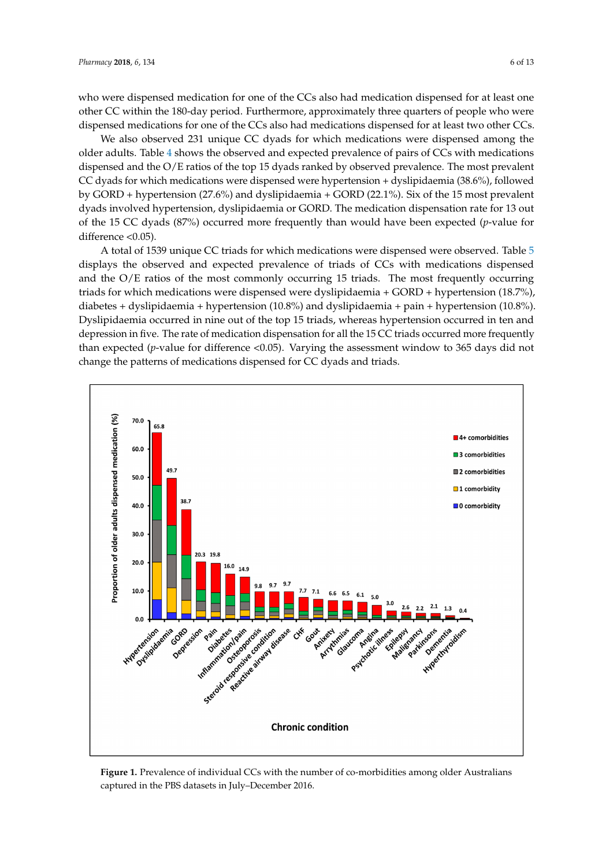who were dispensed medication for one of the CCs also had medication dispensed for at least one other CC within the 180-day period. Furthermore, approximately three quarters of people who were dispensed medications for one of the CCs also had medications dispensed for at least two other CCs.

We also observed 231 unique CC dyads for which medications were dispensed among the older adults. Table [4](#page-7-0) shows the observed and expected prevalence of pairs of CCs with medications dispensed and the O/E ratios of the top 15 dyads ranked by observed prevalence. The most prevalent CC dyads for which medications were dispensed were hypertension + dyslipidaemia (38.6%), followed by GORD + hypertension (27.6%) and dyslipidaemia + GORD (22.1%). Six of the 15 most prevalent dyads involved hypertension, dyslipidaemia or GORD. The medication dispensation rate for 13 out of the 15 CC dyads (87%) occurred more frequently than would have been expected (*p*-value for difference <0.05).

A total of 1539 unique CC triads for which medications were dispensed were observed. Table [5](#page-8-0) displays the observed and expected prevalence of triads of CCs with medications dispensed and the  $O/E$  ratios of the most commonly occurring 15 triads. The most frequently occurring triads for which medications were dispensed were dyslipidaemia + GORD + hypertension (18.7%), diabetes + dyslipidaemia + hypertension (10.8%) and dyslipidaemia + pain + hypertension (10.8%). Dyslipidaemia occurred in nine out of the top 15 triads, whereas hypertension occurred in ten and depression in five. The rate of medication dispensation for all the 15 CC triads occurred more frequently than expected (*p*-value for difference <0.05). Varying the assessment window to 365 days did not change the patterns of medications dispensed for CC dyads and triads.

<span id="page-5-0"></span>

**Figure 1.** Prevalence of individual CCs with the number of co-morbidities among older Australians **Figure 1.** Prevalence of individual CCs with the number of co-morbidities among older Australians captured in the PBS datasets in July**–**December 2016. captured in the PBS datasets in July–December 2016.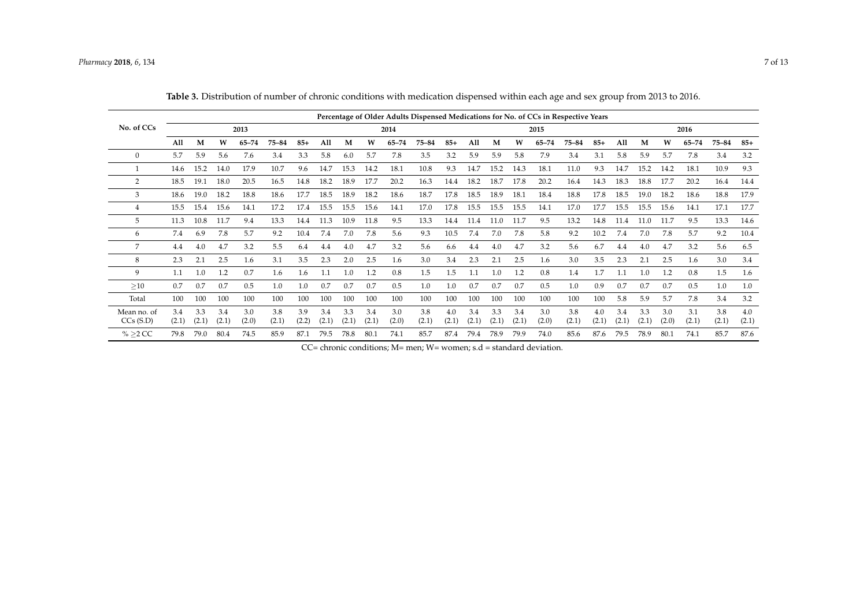|                         |              |              |              |              |              |              |              |              |              |              |              |              |              |              |              |              | Percentage of Older Adults Dispensed Medications for No. of CCs in Respective Years |              |              |              |              |              |              |              |
|-------------------------|--------------|--------------|--------------|--------------|--------------|--------------|--------------|--------------|--------------|--------------|--------------|--------------|--------------|--------------|--------------|--------------|-------------------------------------------------------------------------------------|--------------|--------------|--------------|--------------|--------------|--------------|--------------|
| No. of CCs              |              |              |              | 2013         |              |              |              |              |              | 2014         |              |              |              |              |              | 2015         |                                                                                     |              |              |              |              | 2016         |              |              |
|                         | All          | M            | W            | $65 - 74$    | 75-84        | $85+$        | All          | M            | W            | $65 - 74$    | 75-84        | $85+$        | All          | M            | W            | $65 - 74$    | 75-84                                                                               | $85+$        | All          | M            | W            | 65–74        | 75-84        | $85+$        |
| $\mathbf{0}$            | 5.7          | 5.9          | 5.6          | 7.6          | 3.4          | 3.3          | 5.8          | 6.0          | 5.7          | 7.8          | 3.5          | 3.2          | 5.9          | 5.9          | 5.8          | 7.9          | 3.4                                                                                 | 3.1          | 5.8          | 5.9          | 5.7          | 7.8          | 3.4          | 3.2          |
|                         | 14.6         | 15.2         | 14.0         | 17.9         | 10.7         | 9.6          | 14.7         | 15.3         | 14.2         | 18.1         | 10.8         | 9.3          | 14.7         | 15.2         | 14.3         | 18.1         | 11.0                                                                                | 9.3          | 14.7         | 15.2         | 14.2         | 18.1         | 10.9         | 9.3          |
| 2                       | 18.5         | 19.1         | 18.0         | 20.5         | 16.5         | 14.8         | 18.2         | 18.9         | 17.7         | 20.2         | 16.3         | 14.4         | 18.2         | 18.7         | 17.8         | 20.2         | 16.4                                                                                | 14.3         | 18.3         | 18.8         | 17.7         | 20.2         | 16.4         | 14.4         |
| 3                       | 18.6         | 19.0         | 18.2         | 18.8         | 18.6         | 17.7         | 18.5         | 18.9         | 18.2         | 18.6         | 18.7         | 17.8         | 18.5         | 18.9         | 18.1         | 18.4         | 18.8                                                                                | 17.8         | 18.5         | 19.0         | 18.2         | 18.6         | 18.8         | 17.9         |
| 4                       | 15.5         | 15.4         | 15.6         | 14.1         | 17.2         | 17.4         | 15.5         | 15.5         | 15.6         | 14.1         | 17.0         | 17.8         | 15.5         | 15.5         | 15.5         | 14.1         | 17.0                                                                                | 17.7         | 15.5         | 15.5         | 15.6         | 14.1         | 17.1         | 17.7         |
| 5                       | 11.3         | 10.8         | 11.7         | 9.4          | 13.3         | 14.4         | 11.3         | 10.9         | 11.8         | 9.5          | 13.3         | 14.4         | 11.4         | 11.0         | 11.7         | 9.5          | 13.2                                                                                | 14.8         | 11.4         | 11.0         | 11.7         | 9.5          | 13.3         | 14.6         |
| 6                       | 7.4          | 6.9          | 7.8          | 5.7          | 9.2          | 10.4         | 7.4          | 7.0          | 7.8          | 5.6          | 9.3          | 10.5         | 7.4          | 7.0          | 7.8          | 5.8          | 9.2                                                                                 | 10.2         | 7.4          | 7.0          | 7.8          | 5.7          | 9.2          | 10.4         |
| 7                       | 4.4          | 4.0          | 4.7          | 3.2          | 5.5          | 6.4          | 4.4          | 4.0          | 4.7          | 3.2          | 5.6          | 6.6          | 4.4          | 4.0          | 4.7          | 3.2          | 5.6                                                                                 | 6.7          | 4.4          | 4.0          | 4.7          | 3.2          | 5.6          | 6.5          |
| 8                       | 2.3          | 2.1          | 2.5          | 1.6          | 3.1          | 3.5          | 2.3          | 2.0          | 2.5          | 1.6          | 3.0          | 3.4          | 2.3          | 2.1          | 2.5          | 1.6          | 3.0                                                                                 | 3.5          | 2.3          | 2.1          | 2.5          | 1.6          | 3.0          | 3.4          |
| 9                       | 1.1          | 1.0          | 1.2          | 0.7          | 1.6          | 1.6          | 1.1          | 1.0          | 1.2          | 0.8          | 1.5          | 1.5          | 1.1          | 1.0          | 1.2          | 0.8          | 1.4                                                                                 | 1.7          | 1.1          | 1.0          | 1.2          | 0.8          | 1.5          | 1.6          |
| >10                     | 0.7          | 0.7          | 0.7          | 0.5          | 1.0          | 1.0          | 0.7          | 0.7          | 0.7          | 0.5          | 1.0          | 1.0          | 0.7          | 0.7          | 0.7          | 0.5          | 1.0                                                                                 | 0.9          | 0.7          | 0.7          | 0.7          | 0.5          | 1.0          | 1.0          |
| Total                   | 100          | 100          | 100          | 100          | 100          | 100          | 100          | 100          | 100          | 100          | 100          | 100          | 100          | 100          | 100          | 100          | 100                                                                                 | 100          | 5.8          | 5.9          | 5.7          | 7.8          | 3.4          | 3.2          |
| Mean no. of<br>CCs(S.D) | 3.4<br>(2.1) | 3.3<br>(2.1) | 3.4<br>(2.1) | 3.0<br>(2.0) | 3.8<br>(2.1) | 3.9<br>(2.2) | 3.4<br>(2.1) | 3.3<br>(2.1) | 3.4<br>(2.1) | 3.0<br>(2.0) | 3.8<br>(2.1) | 4.0<br>(2.1) | 3.4<br>(2.1) | 3.3<br>(2.1) | 3.4<br>(2.1) | 3.0<br>(2.0) | 3.8<br>(2.1)                                                                        | 4.0<br>(2.1) | 3.4<br>(2.1) | 3.3<br>(2.1) | 3.0<br>(2.0) | 3.1<br>(2.1) | 3.8<br>(2.1) | 4.0<br>(2.1) |
| $\% > 2$ CC             | 79.8         | 79.0         | 80.4         | 74.5         | 85.9         | 87.1         | 79.5         | 78.8         | 80.1         | 74.1         | 85.7         | 87.4         | 79.4         | 78.9         | 79.9         | 74.0         | 85.6                                                                                | 87.6         | 79.5         | 78.9         | 80.1         | 74.1         | 85.7         | 87.6         |

|  |  |  |  |  |  |  |  |  |  | <b>Table 3.</b> Distribution of number of chronic conditions with medication dispensed within each age and sex group from 2013 to 2016. |
|--|--|--|--|--|--|--|--|--|--|-----------------------------------------------------------------------------------------------------------------------------------------|
|--|--|--|--|--|--|--|--|--|--|-----------------------------------------------------------------------------------------------------------------------------------------|

<span id="page-6-0"></span>CC= chronic conditions; M= men; W= women; s.d = standard deviation.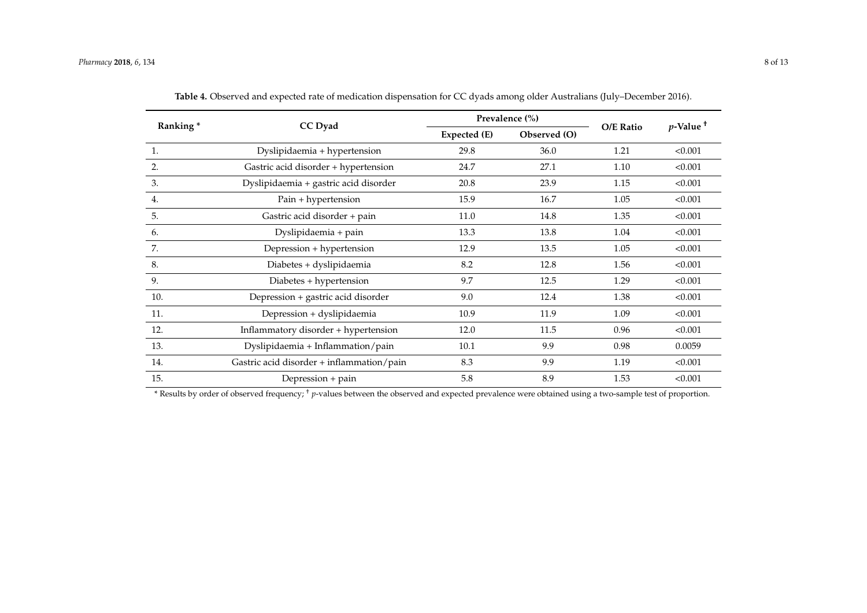| Ranking* | CC Dyad                                   |              | Prevalence (%) |           | $p$ -Value <sup>+</sup> |  |
|----------|-------------------------------------------|--------------|----------------|-----------|-------------------------|--|
|          |                                           | Expected (E) | Observed (O)   | O/E Ratio |                         |  |
| 1.       | Dyslipidaemia + hypertension              | 29.8         | 36.0           | 1.21      | < 0.001                 |  |
| 2.       | Gastric acid disorder + hypertension      | 24.7         | 27.1           | 1.10      | < 0.001                 |  |
| 3.       | Dyslipidaemia + gastric acid disorder     | 20.8         | 23.9           | 1.15      | < 0.001                 |  |
| 4.       | Pain + hypertension                       | 15.9         | 16.7           | 1.05      | < 0.001                 |  |
| 5.       | Gastric acid disorder + pain              | 11.0         | 14.8           | 1.35      | < 0.001                 |  |
| 6.       | Dyslipidaemia + pain                      | 13.3         | 13.8           | 1.04      | < 0.001                 |  |
| 7.       | Depression + hypertension                 | 12.9         | 13.5           | 1.05      | < 0.001                 |  |
| 8.       | Diabetes + dyslipidaemia                  | 8.2          | 12.8           | 1.56      | < 0.001                 |  |
| 9.       | Diabetes + hypertension                   | 9.7          | 12.5           | 1.29      | < 0.001                 |  |
| 10.      | Depression + gastric acid disorder        | 9.0          | 12.4           | 1.38      | < 0.001                 |  |
| 11.      | Depression + dyslipidaemia                | 10.9         | 11.9           | 1.09      | < 0.001                 |  |
| 12.      | Inflammatory disorder + hypertension      | 12.0         | 11.5           | 0.96      | < 0.001                 |  |
| 13.      | Dyslipidaemia + Inflammation/pain         | 10.1         | 9.9            | 0.98      | 0.0059                  |  |
| 14.      | Gastric acid disorder + inflammation/pain | 8.3          | 9.9            | 1.19      | < 0.001                 |  |
| 15.      | Depression + pain                         | 5.8          | 8.9            | 1.53      | < 0.001                 |  |

**Table 4.** Observed and expected rate of medication dispensation for CC dyads among older Australians (July–December 2016).

<span id="page-7-0"></span>\* Results by order of observed frequency; † *p*-values between the observed and expected prevalence were obtained using a two-sample test of proportion.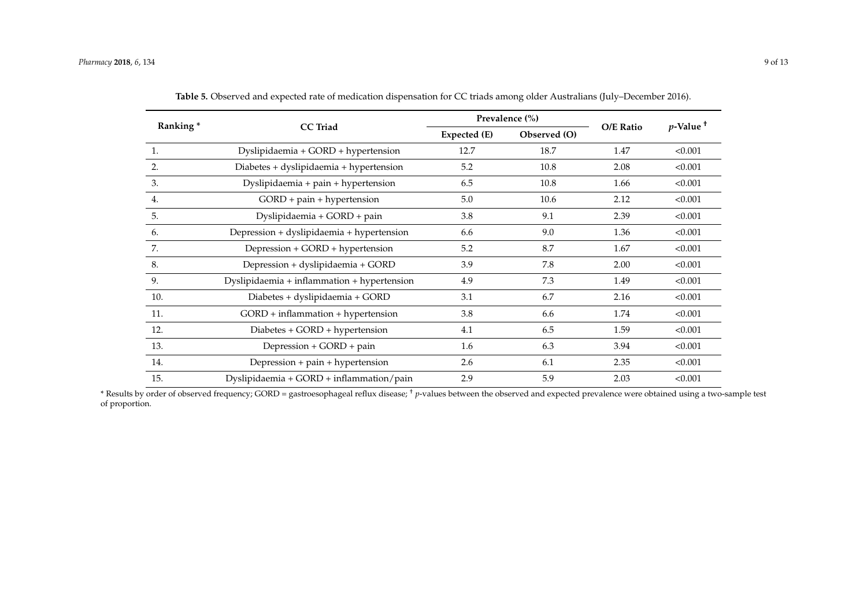| Ranking* |                                             |              | Prevalence (%) |           | $p$ -Value <sup>+</sup> |  |
|----------|---------------------------------------------|--------------|----------------|-----------|-------------------------|--|
|          | <b>CC</b> Triad                             | Expected (E) | Observed (O)   | O/E Ratio |                         |  |
| 1.       | Dyslipidaemia + GORD + hypertension         | 12.7         | 18.7           | 1.47      | < 0.001                 |  |
| 2.       | Diabetes + dyslipidaemia + hypertension     | 5.2          | 10.8           | 2.08      | < 0.001                 |  |
| 3.       | Dyslipidaemia + pain + hypertension         | 6.5          | 10.8           | 1.66      | < 0.001                 |  |
| 4.       | GORD + pain + hypertension                  | 5.0          | 10.6           | 2.12      | < 0.001                 |  |
| 5.       | Dyslipidaemia + GORD + pain                 | 3.8          | 9.1            | 2.39      | < 0.001                 |  |
| 6.       | Depression + dyslipidaemia + hypertension   | 6.6          | 9.0            | 1.36      | < 0.001                 |  |
| 7.       | Depression + GORD + hypertension            | 5.2          | 8.7            | 1.67      | < 0.001                 |  |
| 8.       | Depression + dyslipidaemia + GORD           | 3.9          | 7.8            | 2.00      | < 0.001                 |  |
| 9.       | Dyslipidaemia + inflammation + hypertension | 4.9          | 7.3            | 1.49      | < 0.001                 |  |
| 10.      | Diabetes + dyslipidaemia + GORD             | 3.1          | 6.7            | 2.16      | < 0.001                 |  |
| 11.      | $GORD + inflammation + hypertension$        | 3.8          | 6.6            | 1.74      | < 0.001                 |  |
| 12.      | Diabetes + GORD + hypertension              | 4.1          | 6.5            | 1.59      | < 0.001                 |  |
| 13.      | Depression + GORD + pain                    | 1.6          | 6.3            | 3.94      | < 0.001                 |  |
| 14.      | Depression + pain + hypertension            | 2.6          | 6.1            | 2.35      | < 0.001                 |  |
| 15.      | Dyslipidaemia + $GORD$ + inflammation/pain  | 2.9          | 5.9            | 2.03      | < 0.001                 |  |

**Table 5.** Observed and expected rate of medication dispensation for CC triads among older Australians (July–December 2016).

<span id="page-8-0"></span>\* Results by order of observed frequency; GORD = gastroesophageal reflux disease; † *p*-values between the observed and expected prevalence were obtained using a two-sample test of proportion.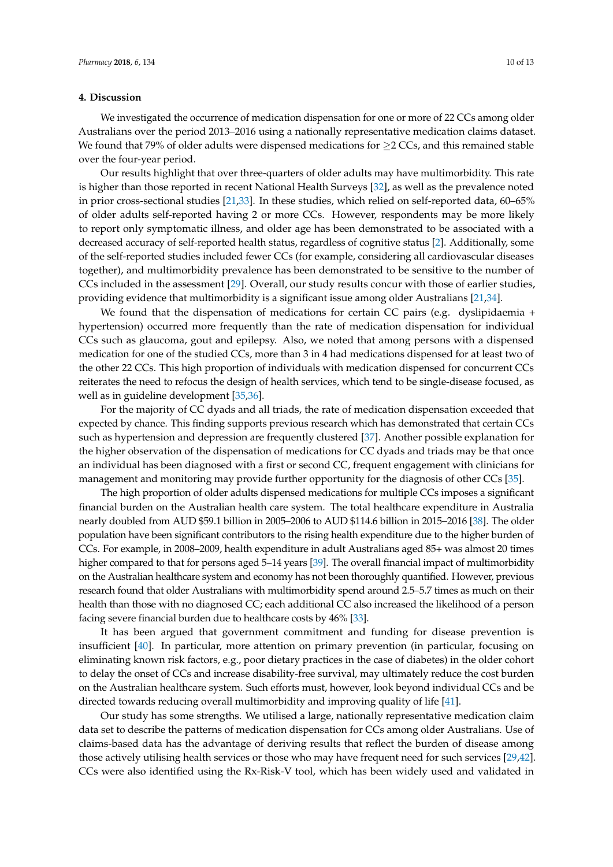## **4. Discussion**

We investigated the occurrence of medication dispensation for one or more of 22 CCs among older Australians over the period 2013–2016 using a nationally representative medication claims dataset. We found that 79% of older adults were dispensed medications for  $\geq 2$  CCs, and this remained stable over the four-year period.

Our results highlight that over three-quarters of older adults may have multimorbidity. This rate is higher than those reported in recent National Health Surveys [\[32\]](#page-12-8), as well as the prevalence noted in prior cross-sectional studies [\[21,](#page-11-16)[33\]](#page-12-9). In these studies, which relied on self-reported data, 60–65% of older adults self-reported having 2 or more CCs. However, respondents may be more likely to report only symptomatic illness, and older age has been demonstrated to be associated with a decreased accuracy of self-reported health status, regardless of cognitive status [\[2\]](#page-10-1). Additionally, some of the self-reported studies included fewer CCs (for example, considering all cardiovascular diseases together), and multimorbidity prevalence has been demonstrated to be sensitive to the number of CCs included in the assessment [\[29\]](#page-12-5). Overall, our study results concur with those of earlier studies, providing evidence that multimorbidity is a significant issue among older Australians [\[21](#page-11-16)[,34\]](#page-12-10).

We found that the dispensation of medications for certain CC pairs (e.g. dyslipidaemia + hypertension) occurred more frequently than the rate of medication dispensation for individual CCs such as glaucoma, gout and epilepsy. Also, we noted that among persons with a dispensed medication for one of the studied CCs, more than 3 in 4 had medications dispensed for at least two of the other 22 CCs. This high proportion of individuals with medication dispensed for concurrent CCs reiterates the need to refocus the design of health services, which tend to be single-disease focused, as well as in guideline development [\[35,](#page-12-11)[36\]](#page-12-12).

For the majority of CC dyads and all triads, the rate of medication dispensation exceeded that expected by chance. This finding supports previous research which has demonstrated that certain CCs such as hypertension and depression are frequently clustered [\[37\]](#page-12-13). Another possible explanation for the higher observation of the dispensation of medications for CC dyads and triads may be that once an individual has been diagnosed with a first or second CC, frequent engagement with clinicians for management and monitoring may provide further opportunity for the diagnosis of other CCs [\[35\]](#page-12-11).

The high proportion of older adults dispensed medications for multiple CCs imposes a significant financial burden on the Australian health care system. The total healthcare expenditure in Australia nearly doubled from AUD \$59.1 billion in 2005–2006 to AUD \$114.6 billion in 2015–2016 [\[38\]](#page-12-14). The older population have been significant contributors to the rising health expenditure due to the higher burden of CCs. For example, in 2008–2009, health expenditure in adult Australians aged 85+ was almost 20 times higher compared to that for persons aged 5–14 years [\[39\]](#page-12-15). The overall financial impact of multimorbidity on the Australian healthcare system and economy has not been thoroughly quantified. However, previous research found that older Australians with multimorbidity spend around 2.5–5.7 times as much on their health than those with no diagnosed CC; each additional CC also increased the likelihood of a person facing severe financial burden due to healthcare costs by 46% [\[33\]](#page-12-9).

It has been argued that government commitment and funding for disease prevention is insufficient [\[40\]](#page-12-16). In particular, more attention on primary prevention (in particular, focusing on eliminating known risk factors, e.g., poor dietary practices in the case of diabetes) in the older cohort to delay the onset of CCs and increase disability-free survival, may ultimately reduce the cost burden on the Australian healthcare system. Such efforts must, however, look beyond individual CCs and be directed towards reducing overall multimorbidity and improving quality of life [\[41\]](#page-12-17).

Our study has some strengths. We utilised a large, nationally representative medication claim data set to describe the patterns of medication dispensation for CCs among older Australians. Use of claims-based data has the advantage of deriving results that reflect the burden of disease among those actively utilising health services or those who may have frequent need for such services [\[29,](#page-12-5)[42\]](#page-12-18). CCs were also identified using the Rx-Risk-V tool, which has been widely used and validated in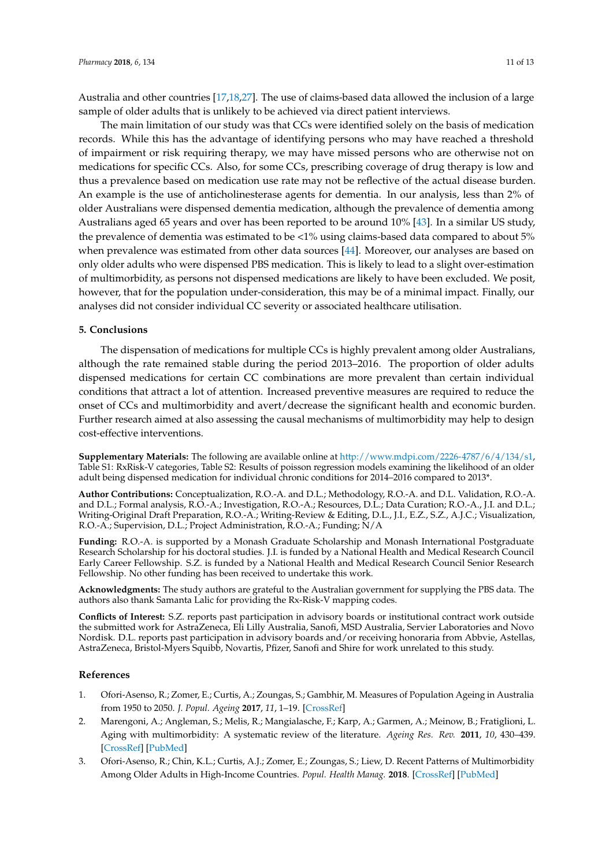Australia and other countries [\[17,](#page-11-13)[18](#page-11-19)[,27\]](#page-12-3). The use of claims-based data allowed the inclusion of a large sample of older adults that is unlikely to be achieved via direct patient interviews.

The main limitation of our study was that CCs were identified solely on the basis of medication records. While this has the advantage of identifying persons who may have reached a threshold of impairment or risk requiring therapy, we may have missed persons who are otherwise not on medications for specific CCs. Also, for some CCs, prescribing coverage of drug therapy is low and thus a prevalence based on medication use rate may not be reflective of the actual disease burden. An example is the use of anticholinesterase agents for dementia. In our analysis, less than 2% of older Australians were dispensed dementia medication, although the prevalence of dementia among Australians aged 65 years and over has been reported to be around 10% [\[43\]](#page-12-19). In a similar US study, the prevalence of dementia was estimated to be <1% using claims-based data compared to about 5% when prevalence was estimated from other data sources [\[44\]](#page-12-20). Moreover, our analyses are based on only older adults who were dispensed PBS medication. This is likely to lead to a slight over-estimation of multimorbidity, as persons not dispensed medications are likely to have been excluded. We posit, however, that for the population under-consideration, this may be of a minimal impact. Finally, our analyses did not consider individual CC severity or associated healthcare utilisation.

## **5. Conclusions**

The dispensation of medications for multiple CCs is highly prevalent among older Australians, although the rate remained stable during the period 2013–2016. The proportion of older adults dispensed medications for certain CC combinations are more prevalent than certain individual conditions that attract a lot of attention. Increased preventive measures are required to reduce the onset of CCs and multimorbidity and avert/decrease the significant health and economic burden. Further research aimed at also assessing the causal mechanisms of multimorbidity may help to design cost-effective interventions.

**Supplementary Materials:** The following are available online at [http://www.mdpi.com/2226-4787/6/4/134/s1,](http://www.mdpi.com/2226-4787/6/4/134/s1) Table S1: RxRisk-V categories, Table S2: Results of poisson regression models examining the likelihood of an older adult being dispensed medication for individual chronic conditions for 2014–2016 compared to 2013\*.

**Author Contributions:** Conceptualization, R.O.-A. and D.L.; Methodology, R.O.-A. and D.L. Validation, R.O.-A. and D.L.; Formal analysis, R.O.-A.; Investigation, R.O.-A.; Resources, D.L.; Data Curation; R.O.-A., J.I. and D.L.; Writing-Original Draft Preparation, R.O.-A.; Writing-Review & Editing, D.L., J.I., E.Z., S.Z., A.J.C.; Visualization, R.O.-A.; Supervision, D.L.; Project Administration, R.O.-A.; Funding; N/A

**Funding:** R.O.-A. is supported by a Monash Graduate Scholarship and Monash International Postgraduate Research Scholarship for his doctoral studies. J.I. is funded by a National Health and Medical Research Council Early Career Fellowship. S.Z. is funded by a National Health and Medical Research Council Senior Research Fellowship. No other funding has been received to undertake this work.

**Acknowledgments:** The study authors are grateful to the Australian government for supplying the PBS data. The authors also thank Samanta Lalic for providing the Rx-Risk-V mapping codes.

**Conflicts of Interest:** S.Z. reports past participation in advisory boards or institutional contract work outside the submitted work for AstraZeneca, Eli Lilly Australia, Sanofi, MSD Australia, Servier Laboratories and Novo Nordisk. D.L. reports past participation in advisory boards and/or receiving honoraria from Abbvie, Astellas, AstraZeneca, Bristol-Myers Squibb, Novartis, Pfizer, Sanofi and Shire for work unrelated to this study.

#### **References**

- <span id="page-10-0"></span>1. Ofori-Asenso, R.; Zomer, E.; Curtis, A.; Zoungas, S.; Gambhir, M. Measures of Population Ageing in Australia from 1950 to 2050. *J. Popul. Ageing* **2017**, *11*, 1–19. [\[CrossRef\]](http://dx.doi.org/10.1007/s12062-017-9203-5)
- <span id="page-10-1"></span>2. Marengoni, A.; Angleman, S.; Melis, R.; Mangialasche, F.; Karp, A.; Garmen, A.; Meinow, B.; Fratiglioni, L. Aging with multimorbidity: A systematic review of the literature. *Ageing Res. Rev.* **2011**, *10*, 430–439. [\[CrossRef\]](http://dx.doi.org/10.1016/j.arr.2011.03.003) [\[PubMed\]](http://www.ncbi.nlm.nih.gov/pubmed/21402176)
- <span id="page-10-2"></span>3. Ofori-Asenso, R.; Chin, K.L.; Curtis, A.J.; Zomer, E.; Zoungas, S.; Liew, D. Recent Patterns of Multimorbidity Among Older Adults in High-Income Countries. *Popul. Health Manag.* **2018**. [\[CrossRef\]](http://dx.doi.org/10.1089/pop.2018.0069) [\[PubMed\]](http://www.ncbi.nlm.nih.gov/pubmed/30096023)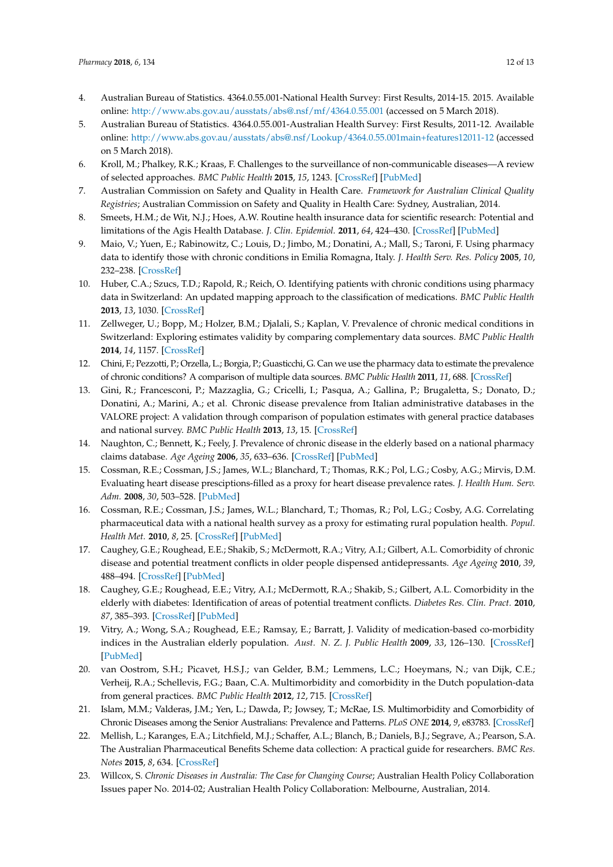- <span id="page-11-0"></span>4. Australian Bureau of Statistics. 4364.0.55.001-National Health Survey: First Results, 2014-15. 2015. Available online: <http://www.abs.gov.au/ausstats/abs@.nsf/mf/4364.0.55.001> (accessed on 5 March 2018).
- <span id="page-11-1"></span>5. Australian Bureau of Statistics. 4364.0.55.001-Australian Health Survey: First Results, 2011-12. Available online: <http://www.abs.gov.au/ausstats/abs@.nsf/Lookup/4364.0.55.001main+features12011-12> (accessed on 5 March 2018).
- <span id="page-11-2"></span>6. Kroll, M.; Phalkey, R.K.; Kraas, F. Challenges to the surveillance of non-communicable diseases—A review of selected approaches. *BMC Public Health* **2015**, *15*, 1243. [\[CrossRef\]](http://dx.doi.org/10.1186/s12889-015-2570-z) [\[PubMed\]](http://www.ncbi.nlm.nih.gov/pubmed/26672992)
- <span id="page-11-3"></span>7. Australian Commission on Safety and Quality in Health Care. *Framework for Australian Clinical Quality Registries*; Australian Commission on Safety and Quality in Health Care: Sydney, Australian, 2014.
- <span id="page-11-4"></span>8. Smeets, H.M.; de Wit, N.J.; Hoes, A.W. Routine health insurance data for scientific research: Potential and limitations of the Agis Health Database. *J. Clin. Epidemiol.* **2011**, *64*, 424–430. [\[CrossRef\]](http://dx.doi.org/10.1016/j.jclinepi.2010.04.023) [\[PubMed\]](http://www.ncbi.nlm.nih.gov/pubmed/20800994)
- <span id="page-11-5"></span>9. Maio, V.; Yuen, E.; Rabinowitz, C.; Louis, D.; Jimbo, M.; Donatini, A.; Mall, S.; Taroni, F. Using pharmacy data to identify those with chronic conditions in Emilia Romagna, Italy. *J. Health Serv. Res. Policy* **2005**, *10*, 232–238. [\[CrossRef\]](http://dx.doi.org/10.1258/135581905774414259)
- <span id="page-11-6"></span>10. Huber, C.A.; Szucs, T.D.; Rapold, R.; Reich, O. Identifying patients with chronic conditions using pharmacy data in Switzerland: An updated mapping approach to the classification of medications. *BMC Public Health* **2013**, *13*, 1030. [\[CrossRef\]](http://dx.doi.org/10.1186/1471-2458-13-1030)
- <span id="page-11-7"></span>11. Zellweger, U.; Bopp, M.; Holzer, B.M.; Djalali, S.; Kaplan, V. Prevalence of chronic medical conditions in Switzerland: Exploring estimates validity by comparing complementary data sources. *BMC Public Health* **2014**, *14*, 1157. [\[CrossRef\]](http://dx.doi.org/10.1186/1471-2458-14-1157)
- <span id="page-11-8"></span>12. Chini, F.; Pezzotti, P.; Orzella, L.; Borgia, P.; Guasticchi, G. Can we use the pharmacy data to estimate the prevalence of chronic conditions? A comparison of multiple data sources. *BMC Public Health* **2011**, *11*, 688. [\[CrossRef\]](http://dx.doi.org/10.1186/1471-2458-11-688)
- <span id="page-11-9"></span>13. Gini, R.; Francesconi, P.; Mazzaglia, G.; Cricelli, I.; Pasqua, A.; Gallina, P.; Brugaletta, S.; Donato, D.; Donatini, A.; Marini, A.; et al. Chronic disease prevalence from Italian administrative databases in the VALORE project: A validation through comparison of population estimates with general practice databases and national survey. *BMC Public Health* **2013**, *13*, 15. [\[CrossRef\]](http://dx.doi.org/10.1186/1471-2458-13-15)
- <span id="page-11-10"></span>14. Naughton, C.; Bennett, K.; Feely, J. Prevalence of chronic disease in the elderly based on a national pharmacy claims database. *Age Ageing* **2006**, *35*, 633–636. [\[CrossRef\]](http://dx.doi.org/10.1093/ageing/afl106) [\[PubMed\]](http://www.ncbi.nlm.nih.gov/pubmed/17047009)
- <span id="page-11-11"></span>15. Cossman, R.E.; Cossman, J.S.; James, W.L.; Blanchard, T.; Thomas, R.K.; Pol, L.G.; Cosby, A.G.; Mirvis, D.M. Evaluating heart disease presciptions-filled as a proxy for heart disease prevalence rates. *J. Health Hum. Serv. Adm.* **2008**, *30*, 503–528. [\[PubMed\]](http://www.ncbi.nlm.nih.gov/pubmed/18236701)
- <span id="page-11-12"></span>16. Cossman, R.E.; Cossman, J.S.; James, W.L.; Blanchard, T.; Thomas, R.; Pol, L.G.; Cosby, A.G. Correlating pharmaceutical data with a national health survey as a proxy for estimating rural population health. *Popul. Health Met.* **2010**, *8*, 25. [\[CrossRef\]](http://dx.doi.org/10.1186/1478-7954-8-25) [\[PubMed\]](http://www.ncbi.nlm.nih.gov/pubmed/20840767)
- <span id="page-11-13"></span>17. Caughey, G.E.; Roughead, E.E.; Shakib, S.; McDermott, R.A.; Vitry, A.I.; Gilbert, A.L. Comorbidity of chronic disease and potential treatment conflicts in older people dispensed antidepressants. *Age Ageing* **2010**, *39*, 488–494. [\[CrossRef\]](http://dx.doi.org/10.1093/ageing/afq055) [\[PubMed\]](http://www.ncbi.nlm.nih.gov/pubmed/20511245)
- <span id="page-11-19"></span>18. Caughey, G.E.; Roughead, E.E.; Vitry, A.I.; McDermott, R.A.; Shakib, S.; Gilbert, A.L. Comorbidity in the elderly with diabetes: Identification of areas of potential treatment conflicts. *Diabetes Res. Clin. Pract.* **2010**, *87*, 385–393. [\[CrossRef\]](http://dx.doi.org/10.1016/j.diabres.2009.10.019) [\[PubMed\]](http://www.ncbi.nlm.nih.gov/pubmed/19923032)
- <span id="page-11-14"></span>19. Vitry, A.; Wong, S.A.; Roughead, E.E.; Ramsay, E.; Barratt, J. Validity of medication-based co-morbidity indices in the Australian elderly population. *Aust. N. Z. J. Public Health* **2009**, *33*, 126–130. [\[CrossRef\]](http://dx.doi.org/10.1111/j.1753-6405.2009.00357.x) [\[PubMed\]](http://www.ncbi.nlm.nih.gov/pubmed/19413854)
- <span id="page-11-15"></span>20. van Oostrom, S.H.; Picavet, H.S.J.; van Gelder, B.M.; Lemmens, L.C.; Hoeymans, N.; van Dijk, C.E.; Verheij, R.A.; Schellevis, F.G.; Baan, C.A. Multimorbidity and comorbidity in the Dutch population-data from general practices. *BMC Public Health* **2012**, *12*, 715. [\[CrossRef\]](http://dx.doi.org/10.1186/1471-2458-12-715)
- <span id="page-11-16"></span>21. Islam, M.M.; Valderas, J.M.; Yen, L.; Dawda, P.; Jowsey, T.; McRae, I.S. Multimorbidity and Comorbidity of Chronic Diseases among the Senior Australians: Prevalence and Patterns. *PLoS ONE* **2014**, *9*, e83783. [\[CrossRef\]](http://dx.doi.org/10.1371/journal.pone.0083783)
- <span id="page-11-17"></span>22. Mellish, L.; Karanges, E.A.; Litchfield, M.J.; Schaffer, A.L.; Blanch, B.; Daniels, B.J.; Segrave, A.; Pearson, S.A. The Australian Pharmaceutical Benefits Scheme data collection: A practical guide for researchers. *BMC Res. Notes* **2015**, *8*, 634. [\[CrossRef\]](http://dx.doi.org/10.1186/s13104-015-1616-8)
- <span id="page-11-18"></span>23. Willcox, S. *Chronic Diseases in Australia: The Case for Changing Course*; Australian Health Policy Collaboration Issues paper No. 2014-02; Australian Health Policy Collaboration: Melbourne, Australian, 2014.